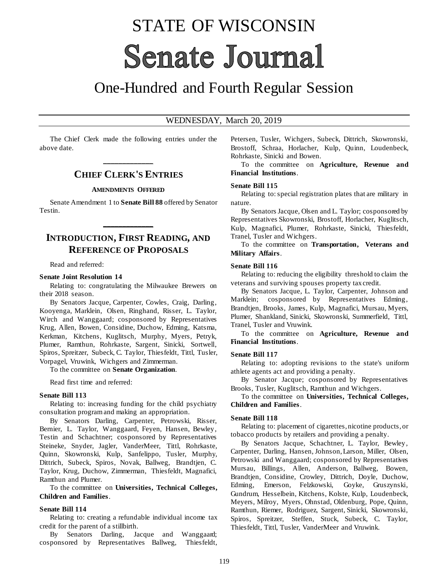# STATE OF WISCONSIN **Senate Journal**

## One-Hundred and Fourth Regular Session

#### WEDNESDAY, March 20, 2019

The Chief Clerk made the following entries under the above date.

## **\_\_\_\_\_\_\_\_\_\_\_\_\_ CHIEF CLERK'S ENTRIES**

#### **AMENDMENTS OFFERED**

Senate Amendment 1 to **Senate Bill 88** offered by Senator Testin.

**\_\_\_\_\_\_\_\_\_\_\_\_\_**

## **INTRODUCTION, FIRST READING, AND REFERENCE OF PROPOSALS**

Read and referred:

#### **Senate Joint Resolution 14**

Relating to: congratulating the Milwaukee Brewers on their 2018 season.

By Senators Jacque, Carpenter, Cowles, Craig, Darling, Kooyenga, Marklein, Olsen, Ringhand, Risser, L. Taylor, Wirch and Wanggaard; cosponsored by Representatives Krug, Allen, Bowen, Considine, Duchow, Edming, Katsma, Kerkman, Kitchens, Kuglitsch, Murphy, Myers, Petryk, Plumer, Ramthun, Rohrkaste, Sargent, Sinicki, Sortwell, Spiros, Spreitzer, Subeck, C. Taylor, Thiesfeldt, Tittl, Tusler, Vorpagel, Vruwink, Wichgers and Zimmerman.

To the committee on **Senate Organization**.

Read first time and referred:

#### **Senate Bill 113**

Relating to: increasing funding for the child psychiatry consultation program and making an appropriation.

By Senators Darling, Carpenter, Petrowski, Risser, Bernier, L. Taylor, Wanggaard, Feyen, Hansen, Bewley, Testin and Schachtner; cosponsored by Representatives Steineke, Snyder, Jagler, VanderMeer, Tittl, Rohrkaste, Quinn, Skowronski, Kulp, Sanfelippo, Tusler, Murphy, Dittrich, Subeck, Spiros, Novak, Ballweg, Brandtjen, C. Taylor, Krug, Duchow, Zimmerman, Thiesfeldt, Magnafici, Ramthun and Plumer.

To the committee on **Universities, Technical Colleges, Children and Families**.

#### **Senate Bill 114**

Relating to: creating a refundable individual income tax credit for the parent of a stillbirth.

By Senators Darling, Jacque and Wanggaard; cosponsored by Representatives Ballweg, Thiesfeldt, Petersen, Tusler, Wichgers, Subeck, Dittrich, Skowronski, Brostoff, Schraa, Horlacher, Kulp, Quinn, Loudenbeck, Rohrkaste, Sinicki and Bowen.

To the committee on **Agriculture, Revenue and Financial Institutions**.

#### **Senate Bill 115**

Relating to: special registration plates that are military in nature.

By Senators Jacque, Olsen and L. Taylor; cosponsored by Representatives Skowronski, Brostoff, Horlacher, Kuglitsch, Kulp, Magnafici, Plumer, Rohrkaste, Sinicki, Thiesfeldt, Tranel, Tusler and Wichgers.

To the committee on **Transportation, Veterans and Military Affairs**.

#### **Senate Bill 116**

Relating to: reducing the eligibility threshold to claim the veterans and surviving spouses property tax credit.

By Senators Jacque, L. Taylor, Carpenter, Johnson and Marklein; cosponsored by Representatives Edming, Brandtjen, Brooks, James, Kulp, Magnafici, Mursau, Myers, Plumer, Shankland, Sinicki, Skowronski, Summerfield, Tittl, Tranel, Tusler and Vruwink.

To the committee on **Agriculture, Revenue and Financial Institutions**.

#### **Senate Bill 117**

Relating to: adopting revisions to the state's uniform athlete agents act and providing a penalty.

By Senator Jacque; cosponsored by Representatives Brooks, Tusler, Kuglitsch, Ramthun and Wichgers.

To the committee on **Universities, Technical Colleges, Children and Families**.

#### **Senate Bill 118**

Relating to: placement of cigarettes, nicotine products, or tobacco products by retailers and providing a penalty.

By Senators Jacque, Schachtner, L. Taylor, Bewley, Carpenter, Darling, Hansen, Johnson, Larson, Miller, Olsen, Petrowski and Wanggaard; cosponsored by Representatives Mursau, Billings, Allen, Anderson, Ballweg, Bowen, Brandtjen, Considine, Crowley, Dittrich, Doyle, Duchow, Edming, Emerson, Felzkowski, Goyke, Gruszynski, Gundrum, Hesselbein, Kitchens, Kolste, Kulp, Loudenbeck, Meyers, Milroy, Myers, Ohnstad, Oldenburg, Pope, Quinn, Ramthun, Riemer, Rodriguez, Sargent, Sinicki, Skowronski, Spiros, Spreitzer, Steffen, Stuck, Subeck, C. Taylor, Thiesfeldt, Tittl, Tusler, VanderMeer and Vruwink.

119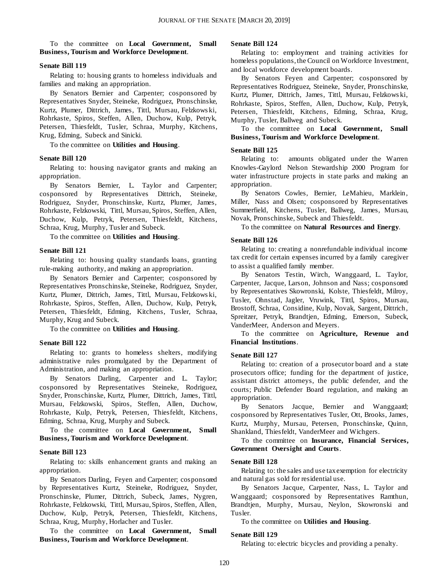#### To the committee on **Local Government, Small Business, Tourism and Workforce Development**.

#### **Senate Bill 119**

Relating to: housing grants to homeless individuals and families and making an appropriation.

By Senators Bernier and Carpenter; cosponsored by Representatives Snyder, Steineke, Rodriguez, Pronschinske, Kurtz, Plumer, Dittrich, James, Tittl, Mursau, Felzkows ki, Rohrkaste, Spiros, Steffen, Allen, Duchow, Kulp, Petryk, Petersen, Thiesfeldt, Tusler, Schraa, Murphy, Kitchens, Krug, Edming, Subeck and Sinicki.

To the committee on **Utilities and Housing**.

#### **Senate Bill 120**

Relating to: housing navigator grants and making an appropriation.

By Senators Bernier, L. Taylor and Carpenter; cosponsored by Representatives Dittrich, Steineke, Rodriguez, Snyder, Pronschinske, Kurtz, Plumer, James, Rohrkaste, Felzkowski, Tittl, Mursau, Spiros, Steffen, Allen, Duchow, Kulp, Petryk, Petersen, Thiesfeldt, Kitchens, Schraa, Krug, Murphy, Tusler and Subeck.

To the committee on **Utilities and Housing**.

#### **Senate Bill 121**

Relating to: housing quality standards loans, granting rule-making authority, and making an appropriation.

By Senators Bernier and Carpenter; cosponsored by Representatives Pronschinske, Steineke, Rodriguez, Snyder, Kurtz, Plumer, Dittrich, James, Tittl, Mursau, Felzkows ki, Rohrkaste, Spiros, Steffen, Allen, Duchow, Kulp, Petryk, Petersen, Thiesfeldt, Edming, Kitchens, Tusler, Schraa, Murphy, Krug and Subeck.

To the committee on **Utilities and Housing**.

#### **Senate Bill 122**

Relating to: grants to homeless shelters, modifying administrative rules promulgated by the Department of Administration, and making an appropriation.

By Senators Darling, Carpenter and L. Taylor; cosponsored by Representatives Steineke, Rodriguez, Snyder, Pronschinske, Kurtz, Plumer, Dittrich, James, Tittl, Mursau, Felzkowski, Spiros, Steffen, Allen, Duchow, Rohrkaste, Kulp, Petryk, Petersen, Thiesfeldt, Kitchens, Edming, Schraa, Krug, Murphy and Subeck.

To the committee on **Local Government, Small Business, Tourism and Workforce Development**.

#### **Senate Bill 123**

Relating to: skills enhancement grants and making an appropriation.

By Senators Darling, Feyen and Carpenter; cosponsored by Representatives Kurtz, Steineke, Rodriguez, Snyder, Pronschinske, Plumer, Dittrich, Subeck, James, Nygren, Rohrkaste, Felzkowski, Tittl, Mursau, Spiros, Steffen, Allen, Duchow, Kulp, Petryk, Petersen, Thiesfeldt, Kitchens, Schraa, Krug, Murphy, Horlacher and Tusler.

To the committee on **Local Government, Small Business, Tourism and Workforce Development**.

#### **Senate Bill 124**

Relating to: employment and training activities for homeless populations, the Council on Workforce Investment, and local workforce development boards.

By Senators Feyen and Carpenter; cosponsored by Representatives Rodriguez, Steineke, Snyder, Pronschinske, Kurtz, Plumer, Dittrich, James, Tittl, Mursau, Felzkows ki, Rohrkaste, Spiros, Steffen, Allen, Duchow, Kulp, Petryk, Petersen, Thiesfeldt, Kitchens, Edming, Schraa, Krug, Murphy, Tusler, Ballweg and Subeck.

To the committee on **Local Government, Small Business, Tourism and Workforce Development**.

#### **Senate Bill 125**

Relating to: amounts obligated under the Warren Knowles-Gaylord Nelson Stewardship 2000 Program for water infrastructure projects in state parks and making an appropriation.

By Senators Cowles, Bernier, LeMahieu, Marklein, Miller, Nass and Olsen; cosponsored by Representatives Summerfield, Kitchens, Tusler, Ballweg, James, Mursau, Novak, Pronschinske, Subeck and Thiesfeldt.

#### To the committee on **Natural Resources and Energy**.

#### **Senate Bill 126**

Relating to: creating a nonrefundable individual income tax credit for certain expenses incurred by a family caregiver to assist a qualified family member.

By Senators Testin, Wirch, Wanggaard, L. Taylor, Carpenter, Jacque, Larson, Johnson and Nass; cosponsored by Representatives Skowronski, Kolste, Thiesfeldt, Milroy, Tusler, Ohnstad, Jagler, Vruwink, Tittl, Spiros, Mursau, Brostoff, Schraa, Considine, Kulp, Novak, Sargent, Dittrich, Spreitzer, Petryk, Brandtjen, Edming, Emerson, Subeck, VanderMeer, Anderson and Meyers.

To the committee on **Agriculture, Revenue and Financial Institutions**.

#### **Senate Bill 127**

Relating to: creation of a prosecutor board and a state prosecutors office; funding for the department of justice, assistant district attorneys, the public defender, and the courts; Public Defender Board regulation, and making an appropriation.

By Senators Jacque, Bernier and Wanggaard; cosponsored by Representatives Tusler, Ott, Brooks, James, Kurtz, Murphy, Mursau, Petersen, Pronschinske, Quinn, Shankland, Thiesfeldt, VanderMeer and Wichgers.

To the committee on **Insurance, Financial Services, Government Oversight and Courts**.

#### **Senate Bill 128**

Relating to: the sales and use tax exemption for electricity and natural gas sold for residential use.

By Senators Jacque, Carpenter, Nass, L. Taylor and Wanggaard; cosponsored by Representatives Ramthun, Brandtjen, Murphy, Mursau, Neylon, Skowronski and Tusler.

To the committee on **Utilities and Housing**.

#### **Senate Bill 129**

Relating to: electric bicycles and providing a penalty.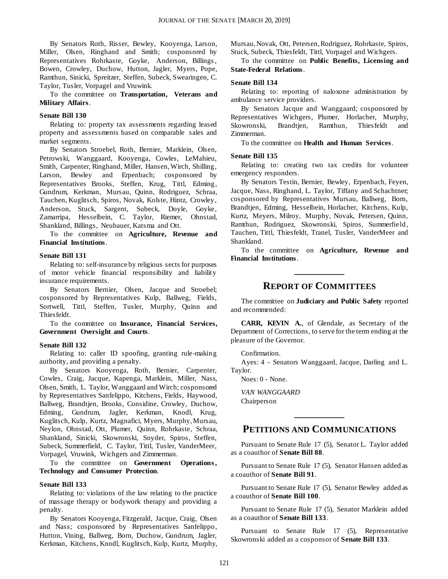By Senators Roth, Risser, Bewley, Kooyenga, Larson, Miller, Olsen, Ringhand and Smith; cosponsored by Representatives Rohrkaste, Goyke, Anderson, Billings , Bowen, Crowley, Duchow, Hutton, Jagler, Myers, Pope, Ramthun, Sinicki, Spreitzer, Steffen, Subeck, Swearingen, C. Taylor, Tusler, Vorpagel and Vruwink.

#### To the committee on **Transportation, Veterans and Military Affairs**.

#### **Senate Bill 130**

Relating to: property tax assessments regarding leased property and assessments based on comparable sales and market segments.

By Senators Stroebel, Roth, Bernier, Marklein, Olsen, Petrowski, Wanggaard, Kooyenga, Cowles, LeMahieu, Smith, Carpenter, Ringhand, Miller, Hansen, Wirch, Shilling, Larson, Bewley and Erpenbach; cosponsored by Representatives Brooks, Steffen, Krug, Tittl, Edming, Gundrum, Kerkman, Mursau, Quinn, Rodriguez, Schraa, Tauchen, Kuglitsch, Spiros, Novak, Kolste, Hintz, Crowley, Anderson, Stuck, Sargent, Subeck, Doyle, Goyke, Zamarripa, Hesselbein, C. Taylor, Riemer, Ohnstad, Shankland, Billings, Neubauer, Katsma and Ott.

To the committee on **Agriculture, Revenue and Financial Institutions**.

#### **Senate Bill 131**

Relating to: self-insurance by religious sects for purposes of motor vehicle financial responsibility and liability insurance requirements.

By Senators Bernier, Olsen, Jacque and Stroebel; cosponsored by Representatives Kulp, Ballweg, Fields, Sortwell, Tittl, Steffen, Tusler, Murphy, Quinn and Thiesfeldt.

To the committee on **Insurance, Financial Services, Government Oversight and Courts**.

#### **Senate Bill 132**

Relating to: caller ID spoofing, granting rule-making authority, and providing a penalty.

By Senators Kooyenga, Roth, Bernier, Carpenter, Cowles, Craig, Jacque, Kapenga, Marklein, Miller, Nass, Olsen, Smith, L. Taylor, Wanggaard and Wirch; cosponsored by Representatives Sanfelippo, Kitchens, Fields, Haywood, Ballweg, Brandtjen, Brooks, Considine, Crowley, Duchow, Edming, Gundrum, Jagler, Kerkman, Knodl, Krug, Kuglitsch, Kulp, Kurtz, Magnafici, Myers, Murphy, Mursau, Neylon, Ohnstad, Ott, Plumer, Quinn, Rohrkaste, Schraa, Shankland, Sinicki, Skowronski, Snyder, Spiros, Steffen, Subeck, Summerfield, C. Taylor, Tittl, Tusler, VanderMeer, Vorpagel, Vruwink, Wichgers and Zimmerman.

To the committee on **Government Operations , Technology and Consumer Protection**.

#### **Senate Bill 133**

Relating to: violations of the law relating to the practice of massage therapy or bodywork therapy and providing a penalty.

By Senators Kooyenga, Fitzgerald, Jacque, Craig, Olsen and Nass; cosponsored by Representatives Sanfelippo, Hutton, Vining, Ballweg, Born, Duchow, Gundrum, Jagler, Kerkman, Kitchens, Knodl, Kuglitsch, Kulp, Kurtz, Murphy, Mursau, Novak, Ott, Petersen, Rodriguez, Rohrkaste, Spiros, Stuck, Subeck, Thiesfeldt, Tittl, Vorpagel and Wichgers.

To the committee on **Public Benefits, Licensing and State-Federal Relations**.

#### **Senate Bill 134**

Relating to: reporting of naloxone administration by ambulance service providers.

By Senators Jacque and Wanggaard; cosponsored by Representatives Wichgers, Plumer, Horlacher, Murphy, Skowronski, Brandtjen, Ramthun, Thiesfeldt and Zimmerman.

To the committee on **Health and Human Services**.

#### **Senate Bill 135**

Relating to: creating two tax credits for volunteer emergency responders.

By Senators Testin, Bernier, Bewley, Erpenbach, Feyen, Jacque, Nass, Ringhand, L. Taylor, Tiffany and Schachtner; cosponsored by Representatives Mursau, Ballweg, Born, Brandtjen, Edming, Hesselbein, Horlacher, Kitchens, Kulp, Kurtz, Meyers, Milroy, Murphy, Novak, Petersen, Quinn, Ramthun, Rodriguez, Skowronski, Spiros, Summerfield, Tauchen, Tittl, Thiesfeldt, Tranel, Tusler, VanderMeer and Shankland.

To the committee on **Agriculture, Revenue and Financial Institutions**.

## **\_\_\_\_\_\_\_\_\_\_\_\_\_ REPORT OF COMMITTEES**

The committee on **Judiciary and Public Safety** reported and recommended:

**CARR, KEVIN A.**, of Glendale, as Secretary of the Department of Corrections, to serve for the term ending at the pleasure of the Governor.

#### Confirmation.

Ayes: 4 - Senators Wanggaard, Jacque, Darling and L. Taylor.

Noes: 0 - None.

*VAN WANGGAARD* Chairperson

#### **PETITIONS AND COMMUNICATIONS**

**\_\_\_\_\_\_\_\_\_\_\_\_\_**

Pursuant to Senate Rule 17 (5), Senator L. Taylor added as a coauthor of **Senate Bill 88**.

Pursuant to Senate Rule 17 (5), Senator Hansen added as a coauthor of **Senate Bill 91**.

Pursuant to Senate Rule 17 (5), Senator Bewley added as a coauthor of **Senate Bill 100**.

Pursuant to Senate Rule 17 (5), Senator Marklein added as a coauthor of **Senate Bill 133**.

Pursuant to Senate Rule 17 (5), Representative Skowronski added as a cosponsor of **Senate Bill 133**.